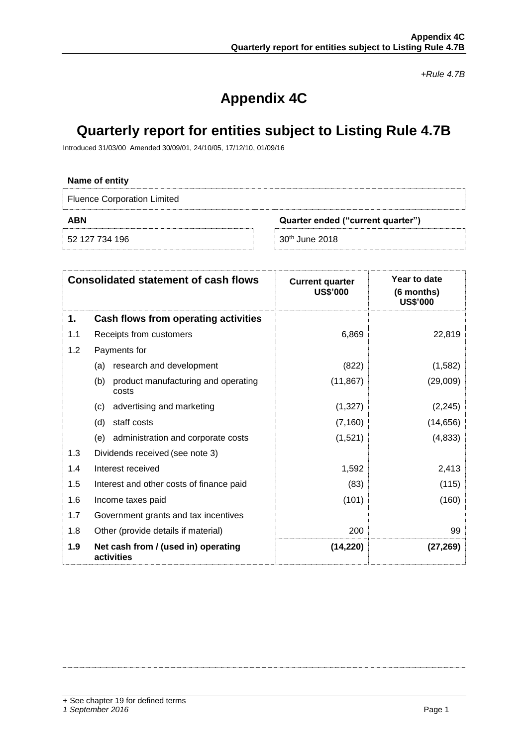*+Rule 4.7B*

# **Appendix 4C**

## **Quarterly report for entities subject to Listing Rule 4.7B**

Introduced 31/03/00 Amended 30/09/01, 24/10/05, 17/12/10, 01/09/16

## **Name of entity** Fluence Corporation Limited **ABN Quarter ended ("current quarter")** 52 127 734 196 30<sup>th</sup> June 2018

|     | <b>Consolidated statement of cash flows</b>         | <b>Current quarter</b><br><b>US\$'000</b> | Year to date<br>(6 months)<br><b>US\$'000</b> |
|-----|-----------------------------------------------------|-------------------------------------------|-----------------------------------------------|
| 1.  | Cash flows from operating activities                |                                           |                                               |
| 1.1 | Receipts from customers                             | 6,869                                     | 22,819                                        |
| 1.2 | Payments for                                        |                                           |                                               |
|     | (a) research and development                        | (822)                                     | (1,582)                                       |
|     | product manufacturing and operating<br>(b)<br>costs | (11, 867)                                 | (29,009)                                      |
|     | advertising and marketing<br>(c)                    | (1,327)                                   | (2, 245)                                      |
|     | staff costs<br>(d)                                  | (7, 160)                                  | (14, 656)                                     |
|     | (e) administration and corporate costs              | (1,521)                                   | (4,833)                                       |
| 1.3 | Dividends received (see note 3)                     |                                           |                                               |
| 1.4 | Interest received                                   | 1,592                                     | 2,413                                         |
| 1.5 | Interest and other costs of finance paid            | (83)                                      | (115)                                         |
| 1.6 | Income taxes paid                                   | (101)                                     | (160)                                         |
| 1.7 | Government grants and tax incentives                |                                           |                                               |
| 1.8 | Other (provide details if material)                 | 200                                       | 99                                            |
| 1.9 | Net cash from / (used in) operating<br>activities   | (14, 220)                                 | (27,269)                                      |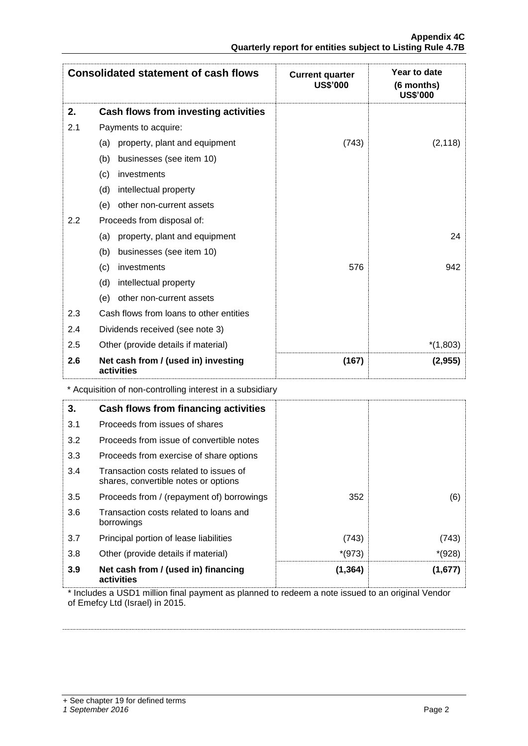| <b>Consolidated statement of cash flows</b> |                                                   | <b>Current quarter</b><br><b>US\$'000</b> | Year to date<br>(6 months)<br><b>US\$'000</b> |
|---------------------------------------------|---------------------------------------------------|-------------------------------------------|-----------------------------------------------|
| 2.                                          | Cash flows from investing activities              |                                           |                                               |
| 2.1                                         | Payments to acquire:                              |                                           |                                               |
|                                             | property, plant and equipment<br>(a)              | (743)                                     | (2, 118)                                      |
|                                             | businesses (see item 10)<br>(b)                   |                                           |                                               |
|                                             | investments<br>(c)                                |                                           |                                               |
|                                             | intellectual property<br>(d)                      |                                           |                                               |
|                                             | other non-current assets<br>(e)                   |                                           |                                               |
| 2.2                                         | Proceeds from disposal of:                        |                                           |                                               |
|                                             | property, plant and equipment<br>(a)              |                                           | 24                                            |
|                                             | businesses (see item 10)<br>(b)                   |                                           |                                               |
|                                             | investments<br>(c)                                | 576                                       | 942                                           |
|                                             | intellectual property<br>(d)                      |                                           |                                               |
|                                             | other non-current assets<br>(e)                   |                                           |                                               |
| 2.3                                         | Cash flows from loans to other entities           |                                           |                                               |
| 2.4                                         | Dividends received (see note 3)                   |                                           |                                               |
| 2.5                                         | Other (provide details if material)               |                                           | $*(1,803)$                                    |
| 2.6                                         | Net cash from / (used in) investing<br>activities | (167)                                     | (2,955)                                       |

\* Acquisition of non-controlling interest in a subsidiary

| 3.  | Cash flows from financing activities                                           |          |          |
|-----|--------------------------------------------------------------------------------|----------|----------|
| 3.1 | Proceeds from issues of shares                                                 |          |          |
| 3.2 | Proceeds from issue of convertible notes                                       |          |          |
| 3.3 | Proceeds from exercise of share options                                        |          |          |
| 3.4 | Transaction costs related to issues of<br>shares, convertible notes or options |          |          |
| 3.5 | Proceeds from / (repayment of) borrowings                                      | 352      | (6)      |
| 3.6 | Transaction costs related to loans and<br>borrowings                           |          |          |
| 3.7 | Principal portion of lease liabilities                                         | (743)    | (743)    |
| 3.8 | Other (provide details if material)                                            | $*(973)$ | $*(928)$ |
| 3.9 | Net cash from / (used in) financing<br>activities                              | (1, 364) | (1,677)  |

\* Includes a USD1 million final payment as planned to redeem a note issued to an original Vendor of Emefcy Ltd (Israel) in 2015.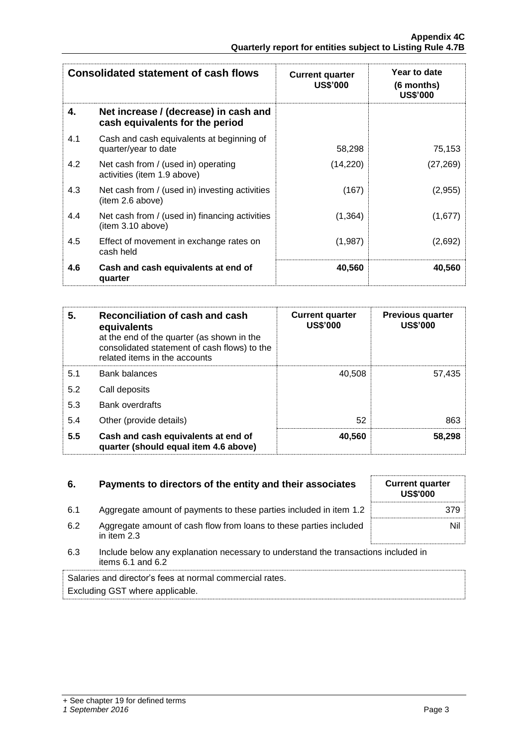| <b>Consolidated statement of cash flows</b> |                                                                          | <b>Current quarter</b><br><b>US\$'000</b> | Year to date<br>(6 months)<br><b>US\$'000</b> |  |
|---------------------------------------------|--------------------------------------------------------------------------|-------------------------------------------|-----------------------------------------------|--|
| 4.                                          | Net increase / (decrease) in cash and<br>cash equivalents for the period |                                           |                                               |  |
| 4.1                                         | Cash and cash equivalents at beginning of<br>quarter/year to date        | 58,298                                    | 75,153                                        |  |
| 4.2                                         | Net cash from / (used in) operating<br>activities (item 1.9 above)       | (14,220)                                  | (27, 269)                                     |  |
| 4.3                                         | Net cash from / (used in) investing activities<br>(item 2.6 above)       | (167)                                     | (2,955)                                       |  |
| 4.4                                         | Net cash from / (used in) financing activities<br>(item 3.10 above)      | (1, 364)                                  | (1,677)                                       |  |
| 4.5                                         | Effect of movement in exchange rates on<br>cash held                     | (1,987)                                   | (2,692)                                       |  |
| 4.6                                         | Cash and cash equivalents at end of<br>quarter                           | 40,560                                    | 40,560                                        |  |

| 5.  | Reconciliation of cash and cash<br>equivalents<br>at the end of the quarter (as shown in the<br>consolidated statement of cash flows) to the<br>related items in the accounts | <b>Current quarter</b><br><b>US\$'000</b> | <b>Previous quarter</b><br><b>US\$'000</b> |
|-----|-------------------------------------------------------------------------------------------------------------------------------------------------------------------------------|-------------------------------------------|--------------------------------------------|
| 5.1 | <b>Bank balances</b>                                                                                                                                                          | 40,508                                    | 57,435                                     |
| 5.2 | Call deposits                                                                                                                                                                 |                                           |                                            |
| 5.3 | <b>Bank overdrafts</b>                                                                                                                                                        |                                           |                                            |
| 5.4 | Other (provide details)                                                                                                                                                       | 52                                        | 863                                        |
| 5.5 | Cash and cash equivalents at end of<br>quarter (should equal item 4.6 above)                                                                                                  | 40,560                                    | 58,298                                     |

| 6.  | Payments to directors of the entity and their associates                                                    | <b>Current quarter</b><br><b>US\$'000</b> |
|-----|-------------------------------------------------------------------------------------------------------------|-------------------------------------------|
| 6.1 | Aggregate amount of payments to these parties included in item 1.2                                          | 379                                       |
| 6.2 | Aggregate amount of cash flow from loans to these parties included<br>in item 2.3                           | Nil                                       |
| 6.3 | Include below any explanation necessary to understand the transactions included in<br>items $6.1$ and $6.2$ |                                           |
|     |                                                                                                             |                                           |

Salaries and director's fees at normal commercial rates. Excluding GST where applicable.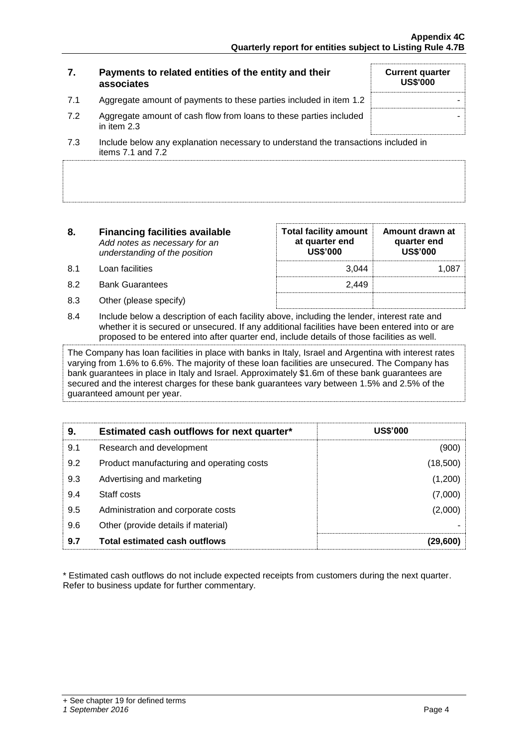#### **7. Payments to related entities of the entity and their associates Current quarter US\$'000** 7.1 Aggregate amount of payments to these parties included in item 1.2 7.2 Aggregate amount of cash flow from loans to these parties included in item 2.3 - 7.3 Include below any explanation necessary to understand the transactions included in items  $7.1$  and  $7.2$

**8. Financing facilities available** *Add notes as necessary for an* 

*understanding of the position*

- 8.1 Loan facilities
- 8.2 Bank Guarantees
- 8.3 Other (please specify)

| <b>Total facility amount</b><br>at quarter end<br><b>US\$'000</b> | Amount drawn at<br>quarter end<br><b>US\$'000</b> |
|-------------------------------------------------------------------|---------------------------------------------------|
| 3.044                                                             | 1.08.                                             |
| 2.449                                                             |                                                   |
|                                                                   |                                                   |

8.4 Include below a description of each facility above, including the lender, interest rate and whether it is secured or unsecured. If any additional facilities have been entered into or are proposed to be entered into after quarter end, include details of those facilities as well.

The Company has loan facilities in place with banks in Italy, Israel and Argentina with interest rates varying from 1.6% to 6.6%. The majority of these loan facilities are unsecured. The Company has bank guarantees in place in Italy and Israel. Approximately \$1.6m of these bank guarantees are secured and the interest charges for these bank guarantees vary between 1.5% and 2.5% of the guaranteed amount per year.

| 9.  | Estimated cash outflows for next quarter* | <b>US\$'000</b> |
|-----|-------------------------------------------|-----------------|
| 9.1 | Research and development                  | (900)           |
| 9.2 | Product manufacturing and operating costs | (18,500)        |
| 9.3 | Advertising and marketing                 | (1,200)         |
| 9.4 | Staff costs                               | (7,000)         |
| 9.5 | Administration and corporate costs        | (2,000)         |
| 9.6 | Other (provide details if material)       |                 |
| 9.7 | <b>Total estimated cash outflows</b>      | (29,600)        |

\* Estimated cash outflows do not include expected receipts from customers during the next quarter. Refer to business update for further commentary.